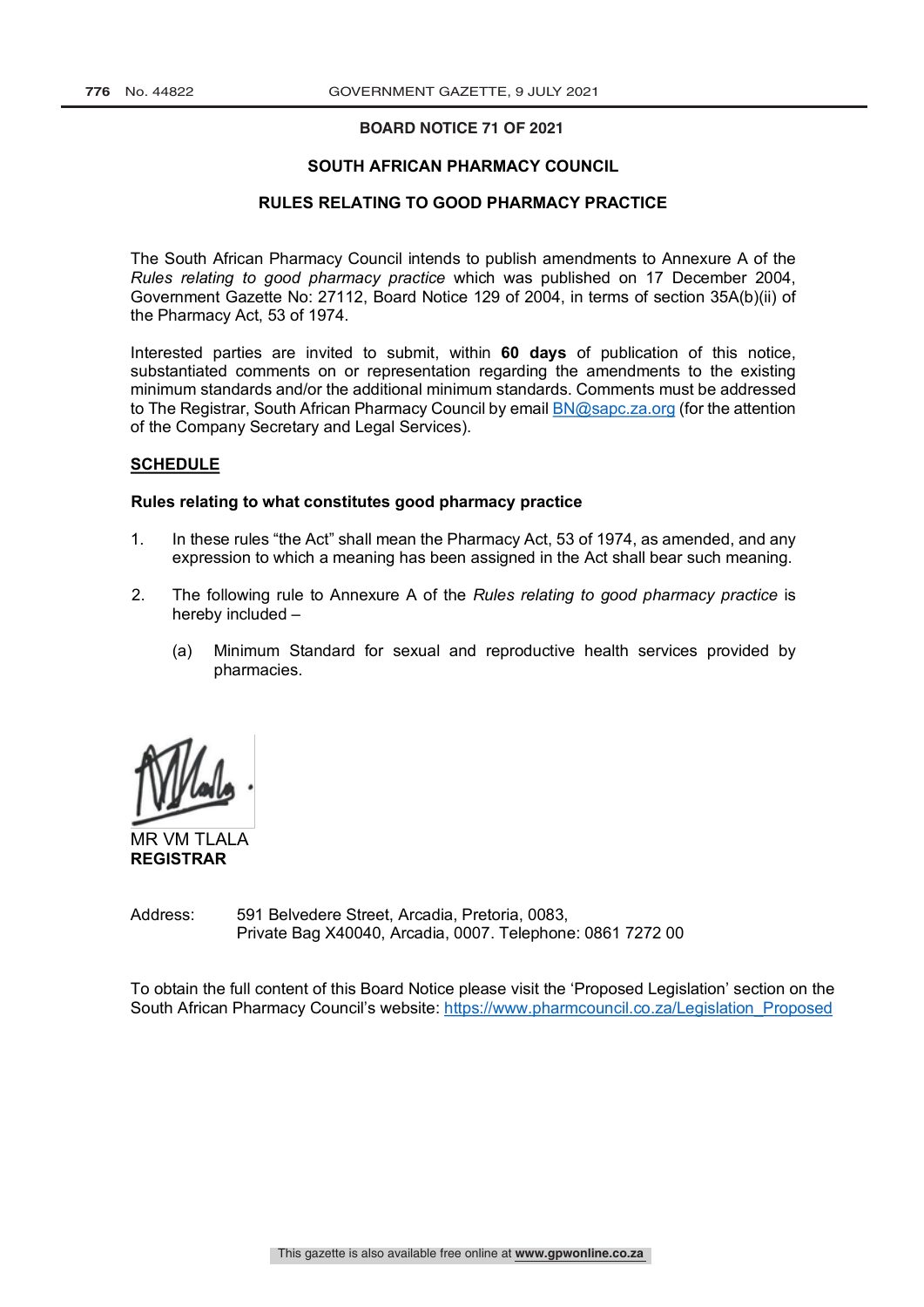### **BOARD NOTICE 71 OF 2021**

#### **SOUTH AFRICAN PHARMACY COUNCIL**

#### **RULES RELATING TO GOOD PHARMACY PRACTICE**

The South African Pharmacy Council intends to publish amendments to Annexure A of the *Rules relating to good pharmacy practice* which was published on 17 December 2004, Government Gazette No: 27112, Board Notice 129 of 2004, in terms of section 35A(b)(ii) of the Pharmacy Act, 53 of 1974.

Interested parties are invited to submit, within **60 days** of publication of this notice, substantiated comments on or representation regarding the amendments to the existing minimum standards and/or the additional minimum standards. Comments must be addressed to The Registrar, South African Pharmacy Council by email BN@sapc.za.org (for the attention of the Company Secretary and Legal Services).

#### **SCHEDULE**

#### **Rules relating to what constitutes good pharmacy practice**

- 1. In these rules "the Act" shall mean the Pharmacy Act, 53 of 1974, as amended, and any expression to which a meaning has been assigned in the Act shall bear such meaning.
- 2. The following rule to Annexure A of the *Rules relating to good pharmacy practice* is hereby included –
	- (a) Minimum Standard for sexual and reproductive health services provided by pharmacies.

MR VM TLALA **REGISTRAR**

Address: 591 Belvedere Street, Arcadia, Pretoria, 0083, Private Bag X40040, Arcadia, 0007. Telephone: 0861 7272 00

To obtain the full content of this Board Notice please visit the 'Proposed Legislation' section on the South African Pharmacy Council's website: https://www.pharmcouncil.co.za/Legislation\_Proposed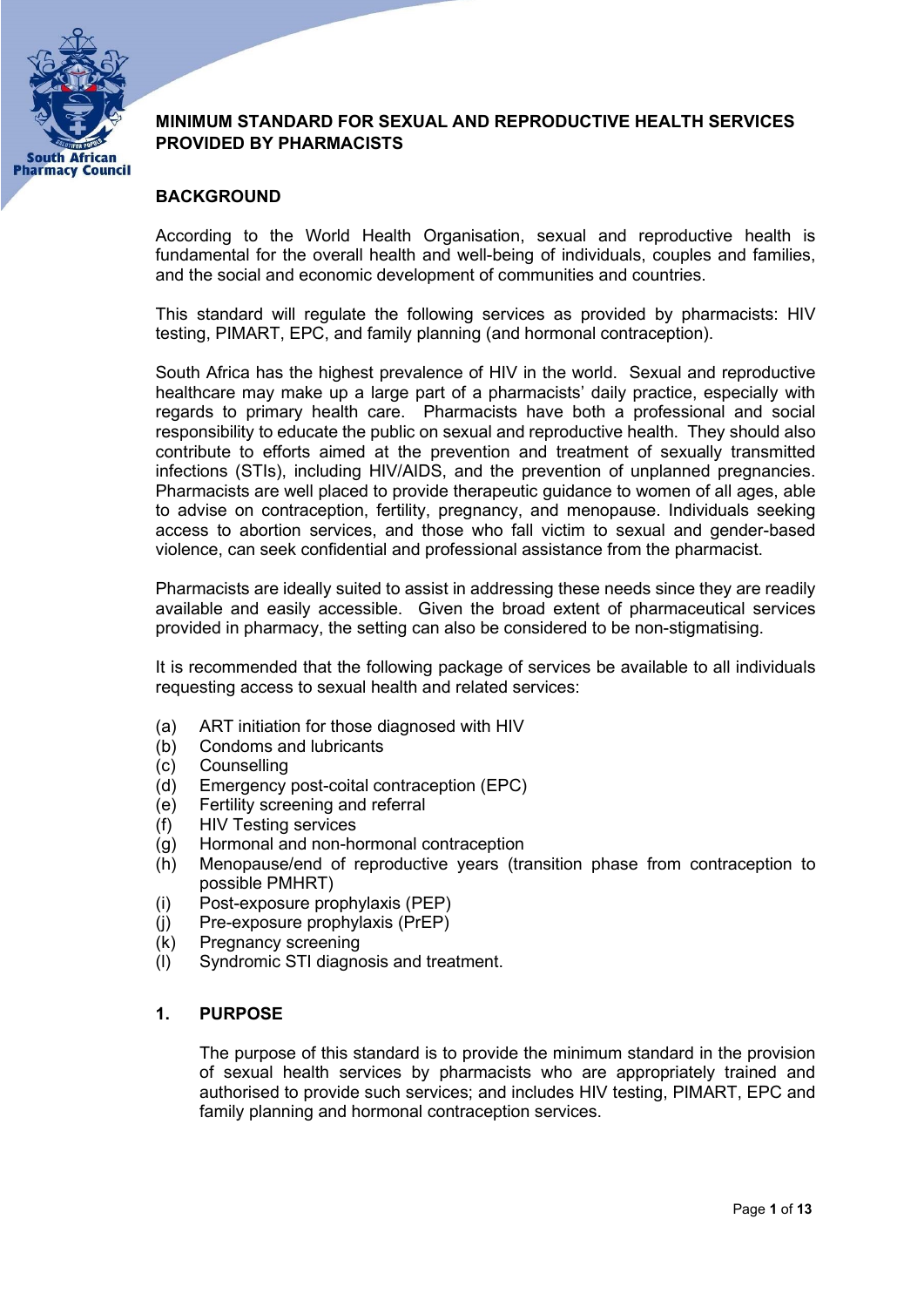

# MINIMUM STANDARD FOR SEXUAL AND REPRODUCTIVE HEALTH SERVICES PROVIDED BY PHARMACISTS

# BACKGROUND

According to the World Health Organisation, sexual and reproductive health is fundamental for the overall health and well-being of individuals, couples and families, and the social and economic development of communities and countries.

This standard will regulate the following services as provided by pharmacists: HIV testing, PIMART, EPC, and family planning (and hormonal contraception).

South Africa has the highest prevalence of HIV in the world. Sexual and reproductive healthcare may make up a large part of a pharmacists' daily practice, especially with regards to primary health care. Pharmacists have both a professional and social responsibility to educate the public on sexual and reproductive health. They should also contribute to efforts aimed at the prevention and treatment of sexually transmitted infections (STIs), including HIV/AIDS, and the prevention of unplanned pregnancies. Pharmacists are well placed to provide therapeutic guidance to women of all ages, able to advise on contraception, fertility, pregnancy, and menopause. Individuals seeking access to abortion services, and those who fall victim to sexual and gender-based violence, can seek confidential and professional assistance from the pharmacist.

Pharmacists are ideally suited to assist in addressing these needs since they are readily available and easily accessible. Given the broad extent of pharmaceutical services provided in pharmacy, the setting can also be considered to be non-stigmatising.

It is recommended that the following package of services be available to all individuals requesting access to sexual health and related services:

- (a) ART initiation for those diagnosed with HIV
- (b) Condoms and lubricants
- (c) Counselling
- (d) Emergency post-coital contraception (EPC)
- (e) Fertility screening and referral
- (f) HIV Testing services
- (g) Hormonal and non-hormonal contraception
- (h) Menopause/end of reproductive years (transition phase from contraception to possible PMHRT)
- (i) Post-exposure prophylaxis (PEP)
- (j) Pre-exposure prophylaxis (PrEP)
- (k) Pregnancy screening
- (l) Syndromic STI diagnosis and treatment.

# 1. PURPOSE

The purpose of this standard is to provide the minimum standard in the provision of sexual health services by pharmacists who are appropriately trained and authorised to provide such services; and includes HIV testing, PIMART, EPC and family planning and hormonal contraception services.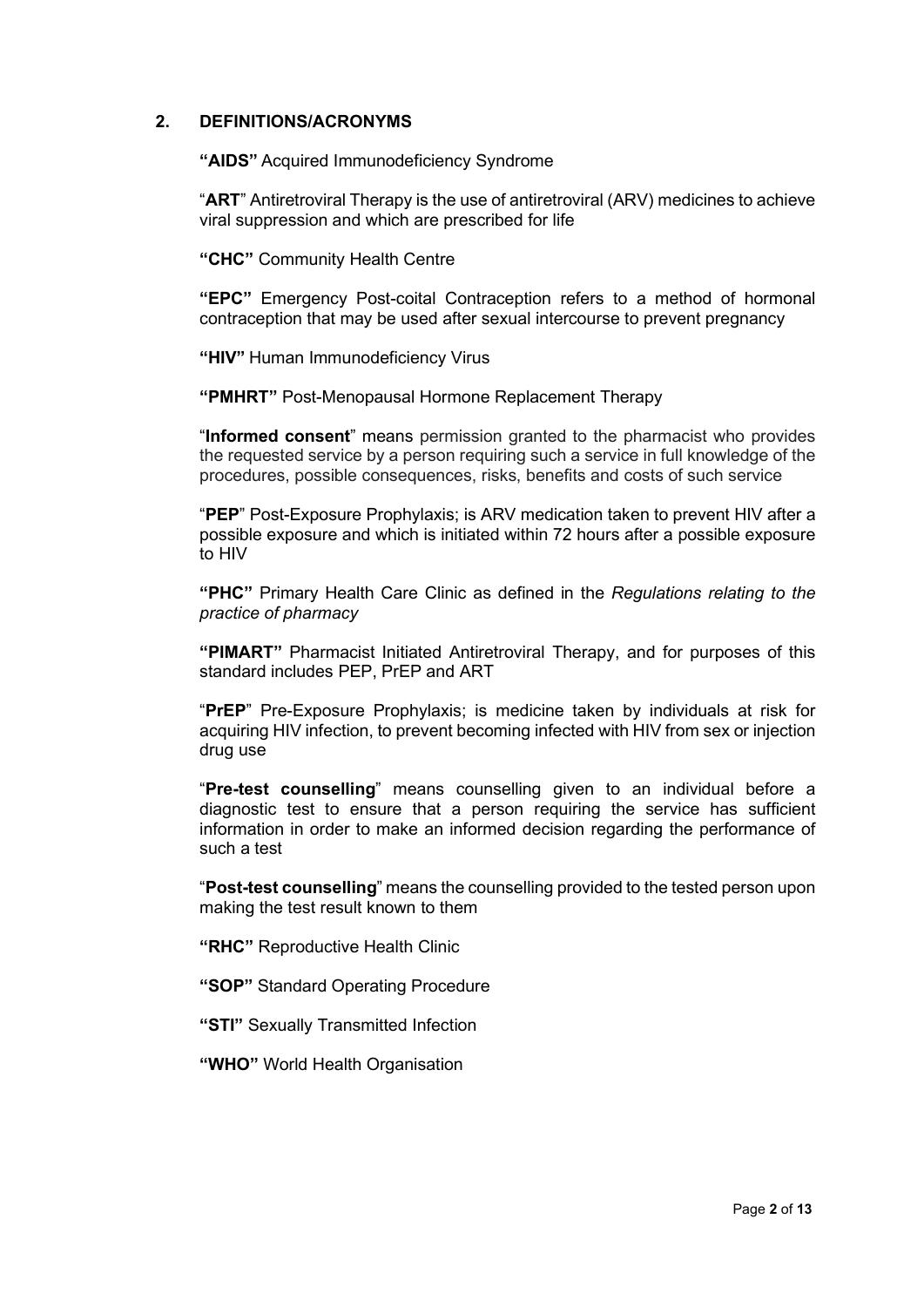### 2. DEFINITIONS/ACRONYMS

"AIDS" Acquired Immunodeficiency Syndrome

"ART" Antiretroviral Therapy is the use of antiretroviral (ARV) medicines to achieve viral suppression and which are prescribed for life

"CHC" Community Health Centre

"EPC" Emergency Post-coital Contraception refers to a method of hormonal contraception that may be used after sexual intercourse to prevent pregnancy

"HIV" Human Immunodeficiency Virus

"PMHRT" Post-Menopausal Hormone Replacement Therapy

"Informed consent" means permission granted to the pharmacist who provides the requested service by a person requiring such a service in full knowledge of the procedures, possible consequences, risks, benefits and costs of such service

"PEP" Post-Exposure Prophylaxis; is ARV medication taken to prevent HIV after a possible exposure and which is initiated within 72 hours after a possible exposure to HIV

"PHC" Primary Health Care Clinic as defined in the Regulations relating to the practice of pharmacy

"PIMART" Pharmacist Initiated Antiretroviral Therapy, and for purposes of this standard includes PEP, PrEP and ART

"PrEP" Pre-Exposure Prophylaxis; is medicine taken by individuals at risk for acquiring HIV infection, to prevent becoming infected with HIV from sex or injection drug use

"Pre-test counselling" means counselling given to an individual before a diagnostic test to ensure that a person requiring the service has sufficient information in order to make an informed decision regarding the performance of such a test

"Post-test counselling" means the counselling provided to the tested person upon making the test result known to them

"RHC" Reproductive Health Clinic

"SOP" Standard Operating Procedure

"STI" Sexually Transmitted Infection

"WHO" World Health Organisation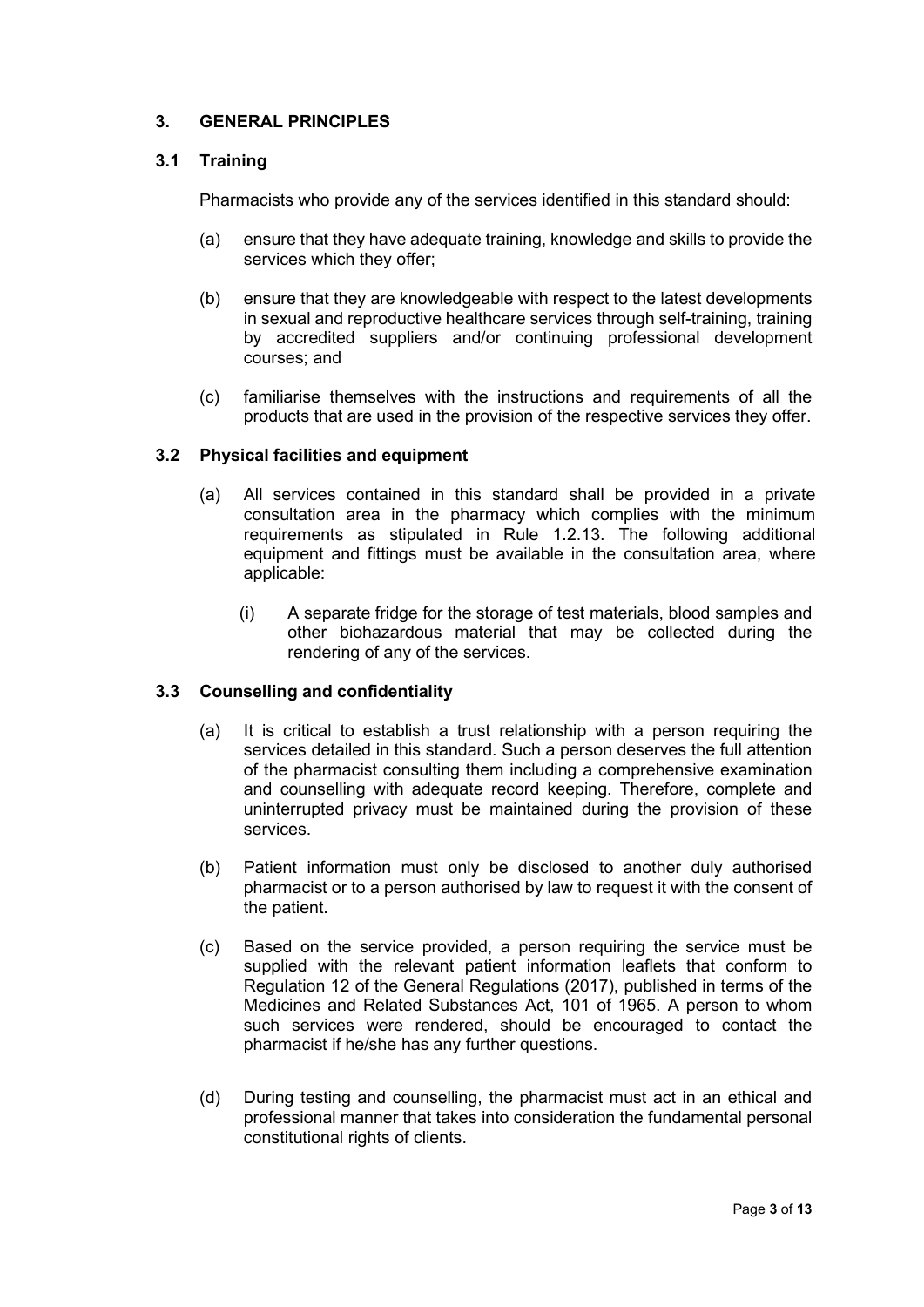# 3. GENERAL PRINCIPLES

# 3.1 Training

Pharmacists who provide any of the services identified in this standard should:

- (a) ensure that they have adequate training, knowledge and skills to provide the services which they offer;
- (b) ensure that they are knowledgeable with respect to the latest developments in sexual and reproductive healthcare services through self-training, training by accredited suppliers and/or continuing professional development courses; and
- (c) familiarise themselves with the instructions and requirements of all the products that are used in the provision of the respective services they offer.

# 3.2 Physical facilities and equipment

- (a) All services contained in this standard shall be provided in a private consultation area in the pharmacy which complies with the minimum requirements as stipulated in Rule 1.2.13. The following additional equipment and fittings must be available in the consultation area, where applicable:
	- (i) A separate fridge for the storage of test materials, blood samples and other biohazardous material that may be collected during the rendering of any of the services.

# 3.3 Counselling and confidentiality

- (a) It is critical to establish a trust relationship with a person requiring the services detailed in this standard. Such a person deserves the full attention of the pharmacist consulting them including a comprehensive examination and counselling with adequate record keeping. Therefore, complete and uninterrupted privacy must be maintained during the provision of these services.
- (b) Patient information must only be disclosed to another duly authorised pharmacist or to a person authorised by law to request it with the consent of the patient.
- (c) Based on the service provided, a person requiring the service must be supplied with the relevant patient information leaflets that conform to Regulation 12 of the General Regulations (2017), published in terms of the Medicines and Related Substances Act, 101 of 1965. A person to whom such services were rendered, should be encouraged to contact the pharmacist if he/she has any further questions.
- (d) During testing and counselling, the pharmacist must act in an ethical and professional manner that takes into consideration the fundamental personal constitutional rights of clients.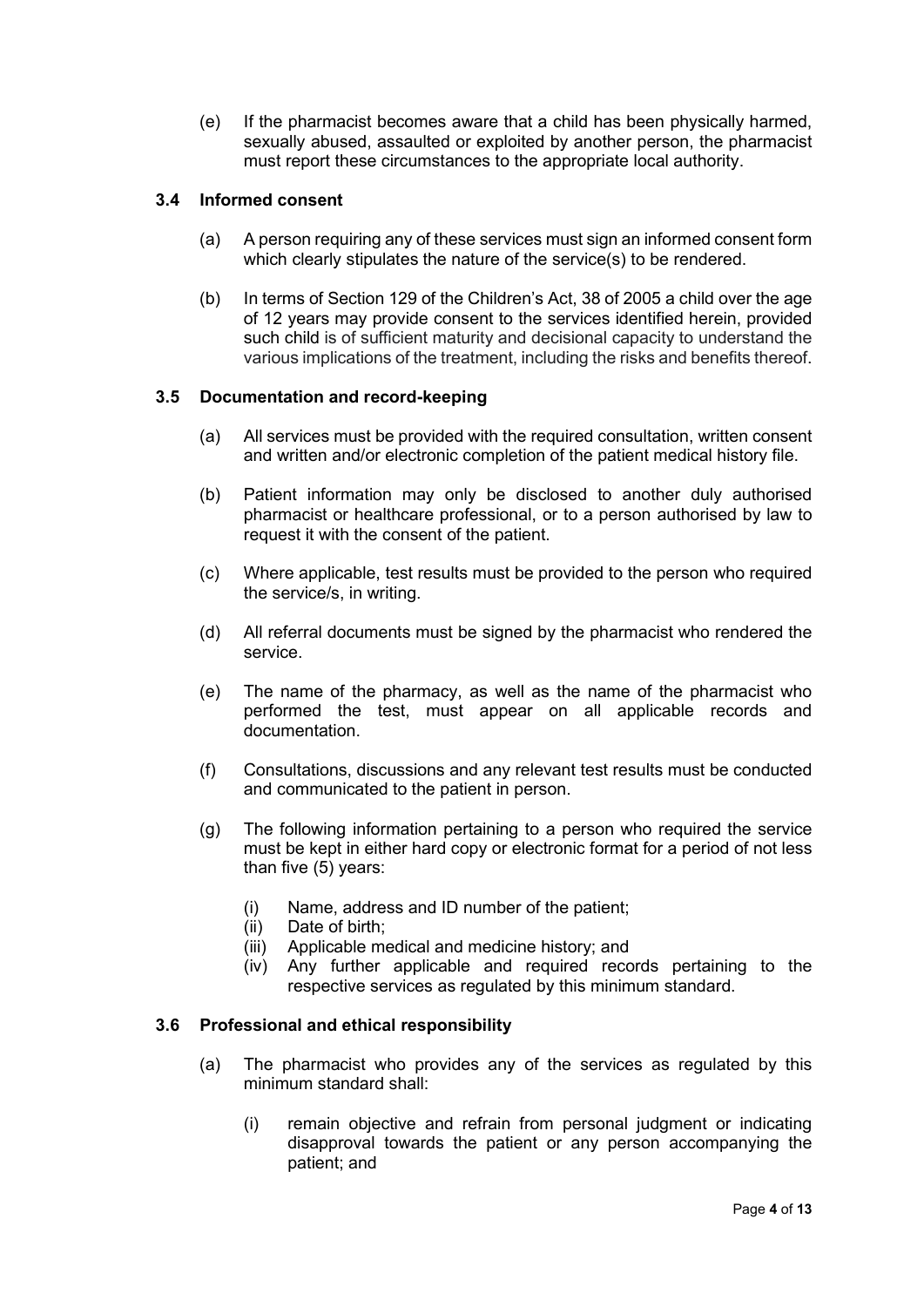(e) If the pharmacist becomes aware that a child has been physically harmed, sexually abused, assaulted or exploited by another person, the pharmacist must report these circumstances to the appropriate local authority.

# 3.4 Informed consent

- (a) A person requiring any of these services must sign an informed consent form which clearly stipulates the nature of the service(s) to be rendered.
- (b) In terms of Section 129 of the Children's Act, 38 of 2005 a child over the age of 12 years may provide consent to the services identified herein, provided such child is of sufficient maturity and decisional capacity to understand the various implications of the treatment, including the risks and benefits thereof.

# 3.5 Documentation and record-keeping

- (a) All services must be provided with the required consultation, written consent and written and/or electronic completion of the patient medical history file.
- (b) Patient information may only be disclosed to another duly authorised pharmacist or healthcare professional, or to a person authorised by law to request it with the consent of the patient.
- (c) Where applicable, test results must be provided to the person who required the service/s, in writing.
- (d) All referral documents must be signed by the pharmacist who rendered the service.
- (e) The name of the pharmacy, as well as the name of the pharmacist who performed the test, must appear on all applicable records and documentation.
- (f) Consultations, discussions and any relevant test results must be conducted and communicated to the patient in person.
- (g) The following information pertaining to a person who required the service must be kept in either hard copy or electronic format for a period of not less than five (5) years:
	- (i) Name, address and ID number of the patient;
	- (ii) Date of birth;
	- (iii) Applicable medical and medicine history; and
	- (iv) Any further applicable and required records pertaining to the respective services as regulated by this minimum standard.

### 3.6 Professional and ethical responsibility

- (a) The pharmacist who provides any of the services as regulated by this minimum standard shall:
	- (i) remain objective and refrain from personal judgment or indicating disapproval towards the patient or any person accompanying the patient; and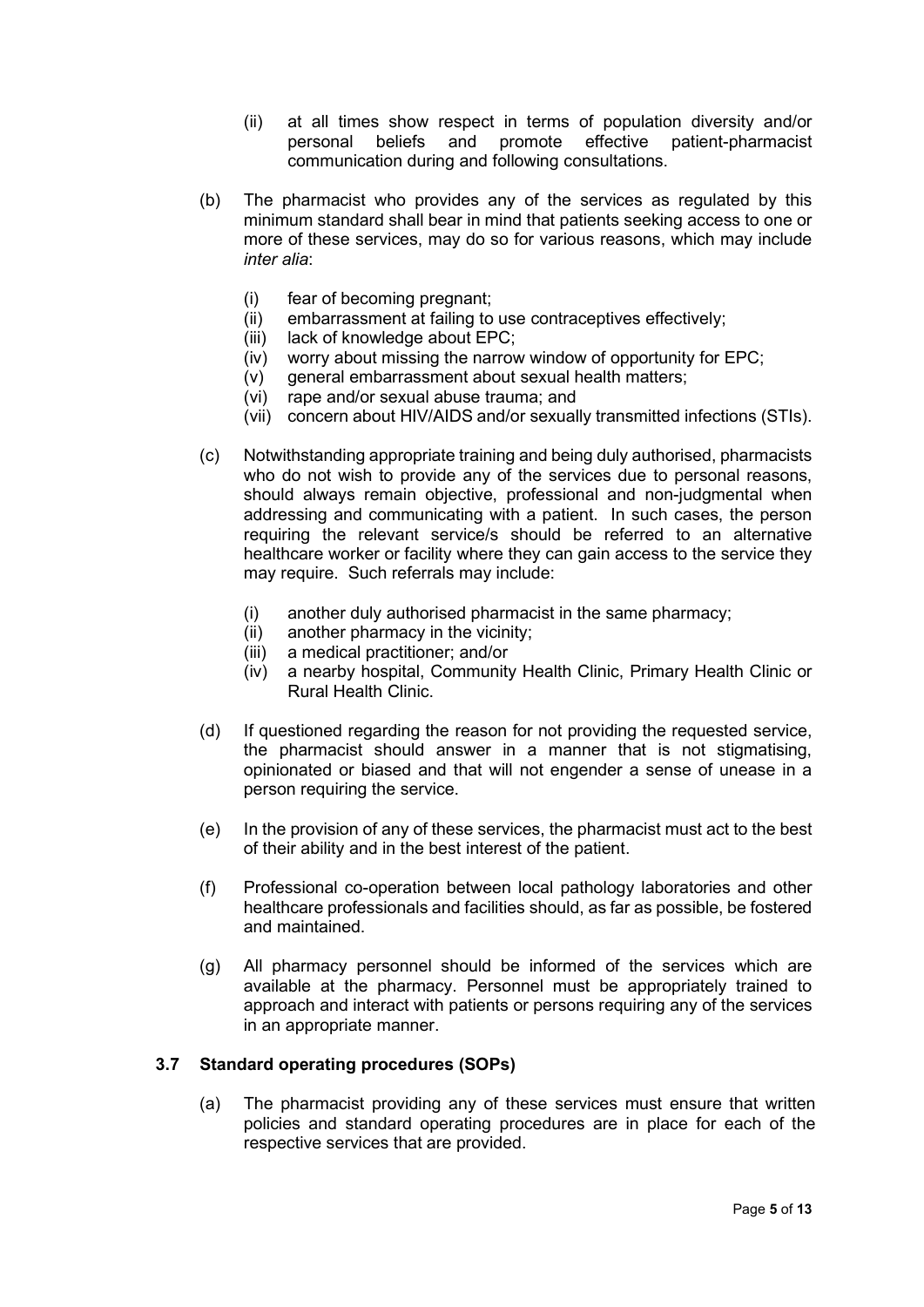- (ii) at all times show respect in terms of population diversity and/or personal beliefs and promote effective patient-pharmacist communication during and following consultations.
- (b) The pharmacist who provides any of the services as regulated by this minimum standard shall bear in mind that patients seeking access to one or more of these services, may do so for various reasons, which may include inter alia:
	- (i) fear of becoming pregnant;
	- (ii) embarrassment at failing to use contraceptives effectively;
	- (iii) lack of knowledge about EPC;
	- (iv) worry about missing the narrow window of opportunity for EPC;
	- (v) general embarrassment about sexual health matters;
	- (vi) rape and/or sexual abuse trauma; and
	- (vii) concern about HIV/AIDS and/or sexually transmitted infections (STIs).
- (c) Notwithstanding appropriate training and being duly authorised, pharmacists who do not wish to provide any of the services due to personal reasons. should always remain objective, professional and non-judgmental when addressing and communicating with a patient. In such cases, the person requiring the relevant service/s should be referred to an alternative healthcare worker or facility where they can gain access to the service they may require. Such referrals may include:
	- (i) another duly authorised pharmacist in the same pharmacy;
	- (ii) another pharmacy in the vicinity;
	- (iii) a medical practitioner; and/or
	- (iv) a nearby hospital, Community Health Clinic, Primary Health Clinic or Rural Health Clinic.
- (d) If questioned regarding the reason for not providing the requested service, the pharmacist should answer in a manner that is not stigmatising, opinionated or biased and that will not engender a sense of unease in a person requiring the service.
- (e) In the provision of any of these services, the pharmacist must act to the best of their ability and in the best interest of the patient.
- (f) Professional co-operation between local pathology laboratories and other healthcare professionals and facilities should, as far as possible, be fostered and maintained.
- (g) All pharmacy personnel should be informed of the services which are available at the pharmacy. Personnel must be appropriately trained to approach and interact with patients or persons requiring any of the services in an appropriate manner.

# 3.7 Standard operating procedures (SOPs)

(a) The pharmacist providing any of these services must ensure that written policies and standard operating procedures are in place for each of the respective services that are provided.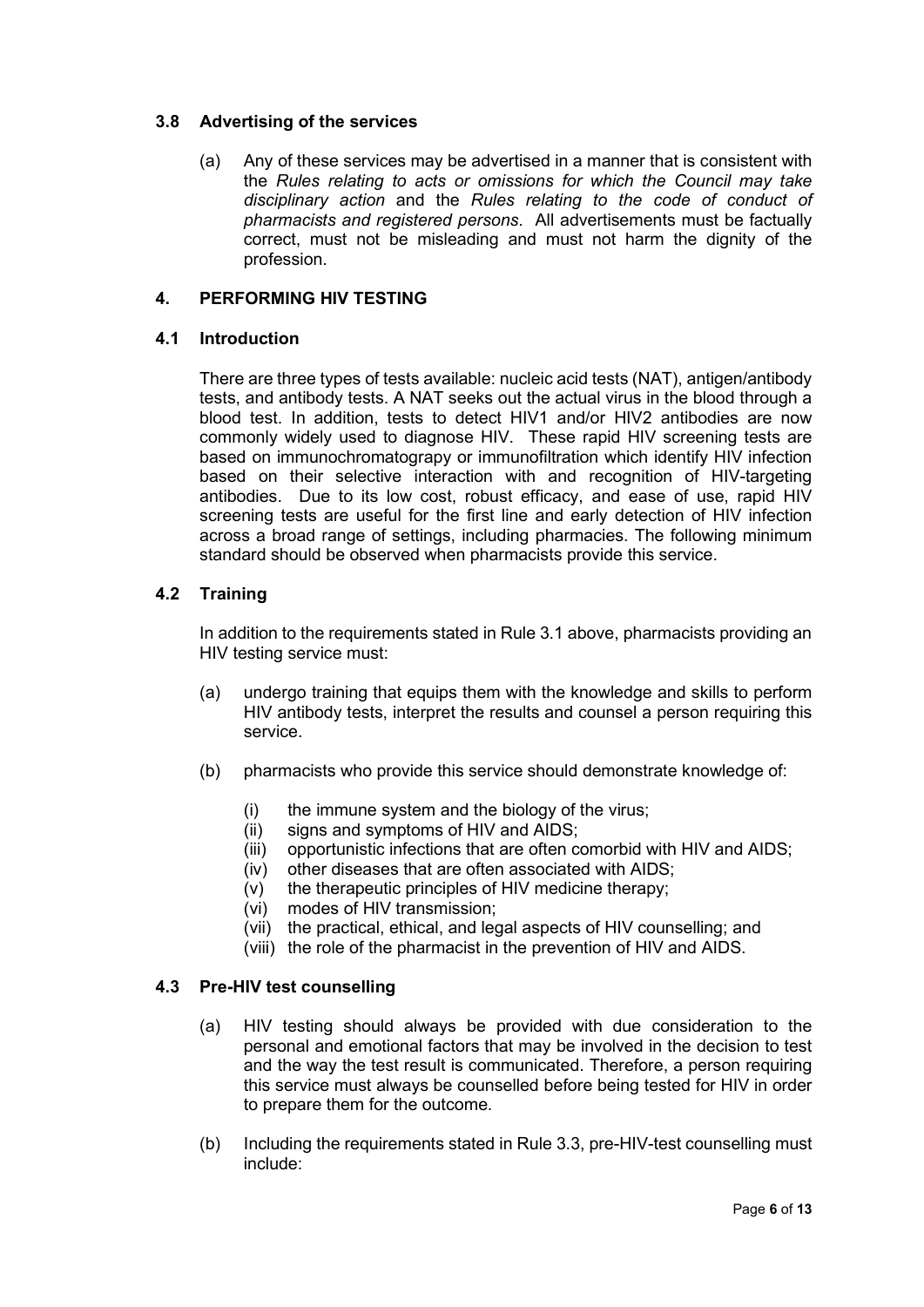### 3.8 Advertising of the services

(a) Any of these services may be advertised in a manner that is consistent with the Rules relating to acts or omissions for which the Council may take disciplinary action and the Rules relating to the code of conduct of pharmacists and registered persons. All advertisements must be factually correct, must not be misleading and must not harm the dignity of the profession.

### 4. PERFORMING HIV TESTING

### 4.1 Introduction

There are three types of tests available: nucleic acid tests (NAT), antigen/antibody tests, and antibody tests. A NAT seeks out the actual virus in the blood through a blood test. In addition, tests to detect HIV1 and/or HIV2 antibodies are now commonly widely used to diagnose HIV. These rapid HIV screening tests are based on immunochromatograpy or immunofiltration which identify HIV infection based on their selective interaction with and recognition of HIV-targeting antibodies. Due to its low cost, robust efficacy, and ease of use, rapid HIV screening tests are useful for the first line and early detection of HIV infection across a broad range of settings, including pharmacies. The following minimum standard should be observed when pharmacists provide this service.

# 4.2 Training

In addition to the requirements stated in Rule 3.1 above, pharmacists providing an HIV testing service must:

- (a) undergo training that equips them with the knowledge and skills to perform HIV antibody tests, interpret the results and counsel a person requiring this service.
- (b) pharmacists who provide this service should demonstrate knowledge of:
	- (i) the immune system and the biology of the virus;
	- (ii) signs and symptoms of HIV and AIDS;
	- (iii) opportunistic infections that are often comorbid with HIV and AIDS;
	- (iv) other diseases that are often associated with AIDS;
	- (v) the therapeutic principles of HIV medicine therapy;
	- (vi) modes of HIV transmission;
	- (vii) the practical, ethical, and legal aspects of HIV counselling; and
	- (viii) the role of the pharmacist in the prevention of HIV and AIDS.

### 4.3 Pre-HIV test counselling

- (a) HIV testing should always be provided with due consideration to the personal and emotional factors that may be involved in the decision to test and the way the test result is communicated. Therefore, a person requiring this service must always be counselled before being tested for HIV in order to prepare them for the outcome.
- (b) Including the requirements stated in Rule 3.3, pre-HIV-test counselling must include: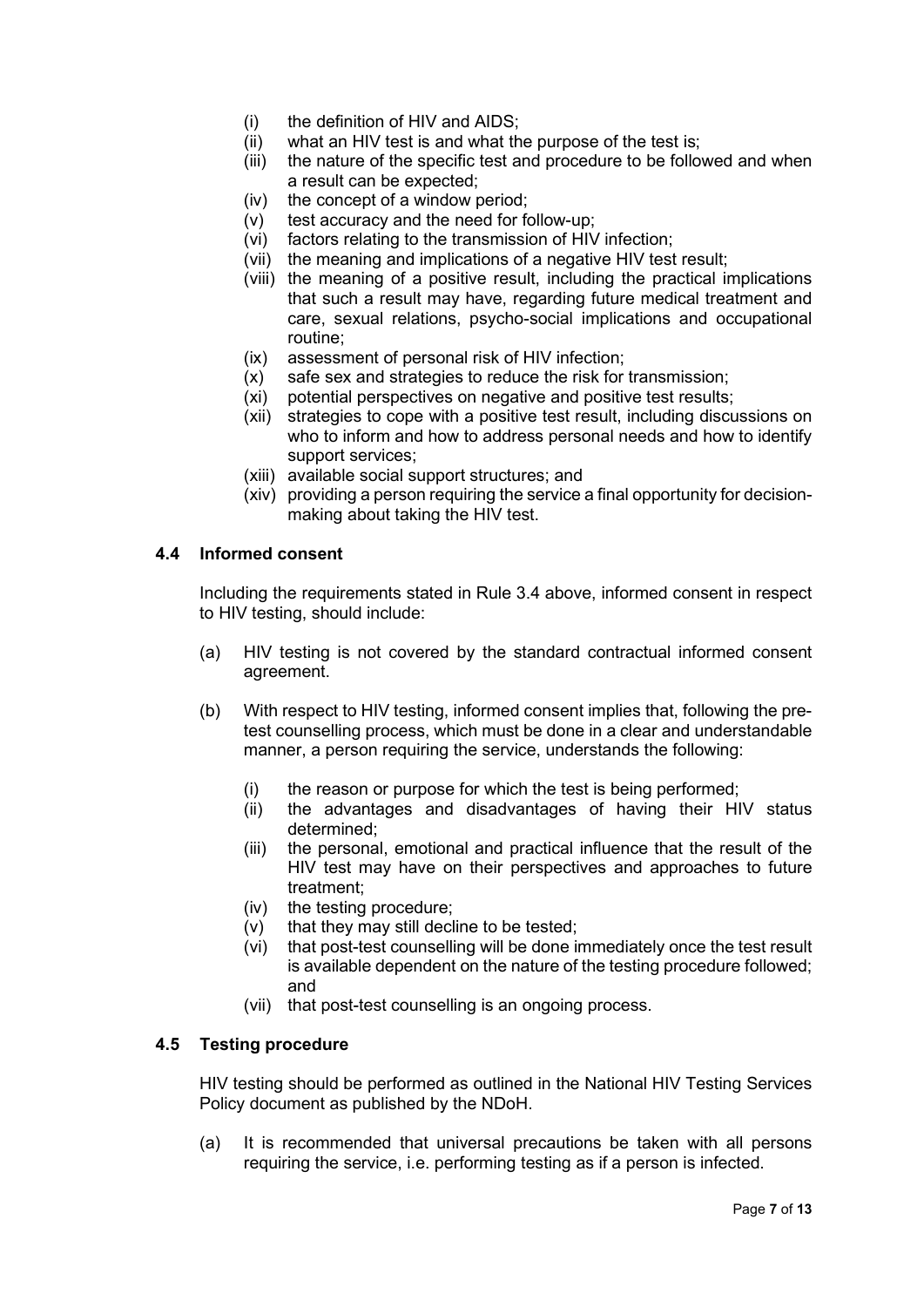- (i) the definition of HIV and AIDS;
- (ii) what an HIV test is and what the purpose of the test is;
- (iii) the nature of the specific test and procedure to be followed and when a result can be expected;
- (iv) the concept of a window period;
- (v) test accuracy and the need for follow-up;
- (vi) factors relating to the transmission of HIV infection;
- (vii) the meaning and implications of a negative HIV test result;
- (viii) the meaning of a positive result, including the practical implications that such a result may have, regarding future medical treatment and care, sexual relations, psycho-social implications and occupational routine;
- (ix) assessment of personal risk of HIV infection;
- (x) safe sex and strategies to reduce the risk for transmission;
- (xi) potential perspectives on negative and positive test results;
- (xii) strategies to cope with a positive test result, including discussions on who to inform and how to address personal needs and how to identify support services;
- (xiii) available social support structures; and
- (xiv) providing a person requiring the service a final opportunity for decisionmaking about taking the HIV test.

### 4.4 Informed consent

Including the requirements stated in Rule 3.4 above, informed consent in respect to HIV testing, should include:

- (a) HIV testing is not covered by the standard contractual informed consent agreement.
- (b) With respect to HIV testing, informed consent implies that, following the pretest counselling process, which must be done in a clear and understandable manner, a person requiring the service, understands the following:
	- (i) the reason or purpose for which the test is being performed;
	- (ii) the advantages and disadvantages of having their HIV status determined;
	- (iii) the personal, emotional and practical influence that the result of the HIV test may have on their perspectives and approaches to future treatment;
	- (iv) the testing procedure;
	- (v) that they may still decline to be tested;
	- (vi) that post-test counselling will be done immediately once the test result is available dependent on the nature of the testing procedure followed; and
	- (vii) that post-test counselling is an ongoing process.

### 4.5 Testing procedure

HIV testing should be performed as outlined in the National HIV Testing Services Policy document as published by the NDoH.

(a) It is recommended that universal precautions be taken with all persons requiring the service, i.e. performing testing as if a person is infected.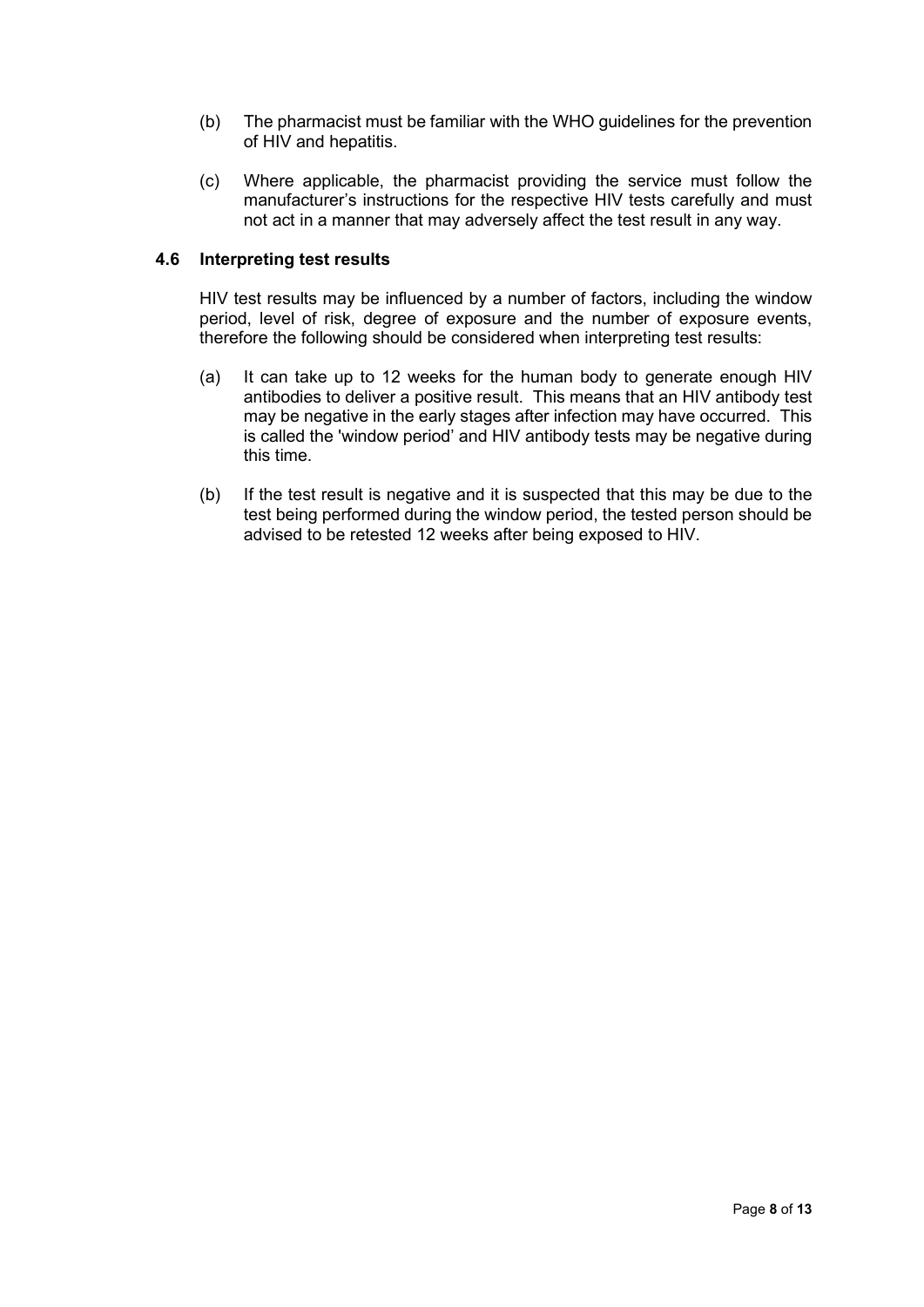- (b) The pharmacist must be familiar with the WHO guidelines for the prevention of HIV and hepatitis.
- (c) Where applicable, the pharmacist providing the service must follow the manufacturer's instructions for the respective HIV tests carefully and must not act in a manner that may adversely affect the test result in any way.

### 4.6 Interpreting test results

HIV test results may be influenced by a number of factors, including the window period, level of risk, degree of exposure and the number of exposure events, therefore the following should be considered when interpreting test results:

- (a) It can take up to 12 weeks for the human body to generate enough HIV antibodies to deliver a positive result. This means that an HIV antibody test may be negative in the early stages after infection may have occurred. This is called the 'window period' and HIV antibody tests may be negative during this time.
- (b) If the test result is negative and it is suspected that this may be due to the test being performed during the window period, the tested person should be advised to be retested 12 weeks after being exposed to HIV.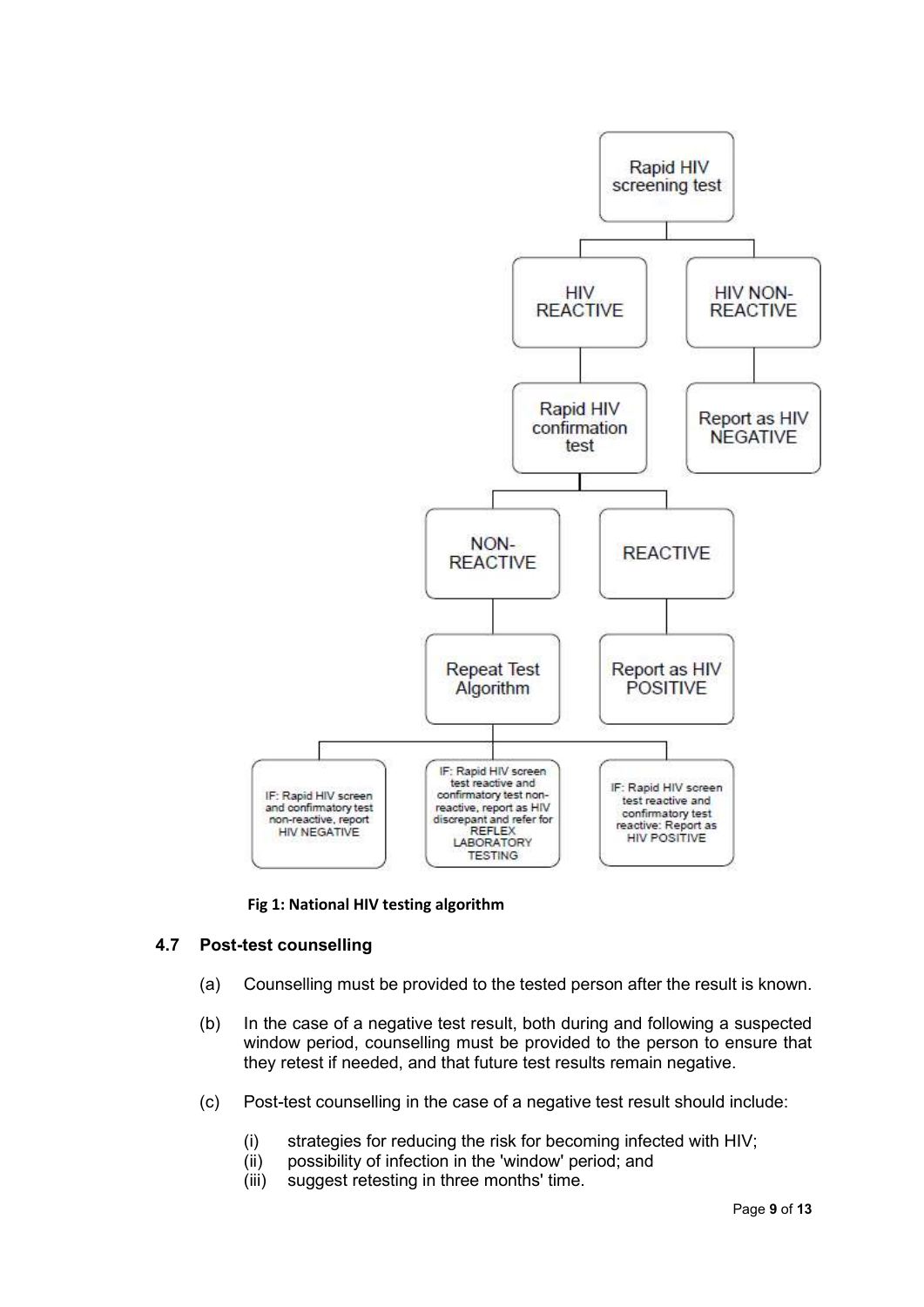

### Fig 1: National HIV testing algorithm

# 4.7 Post-test counselling

- (a) Counselling must be provided to the tested person after the result is known.
- (b) In the case of a negative test result, both during and following a suspected window period, counselling must be provided to the person to ensure that they retest if needed, and that future test results remain negative.
- (c) Post-test counselling in the case of a negative test result should include:
	- (i) strategies for reducing the risk for becoming infected with HIV;
	- (ii) possibility of infection in the 'window' period; and
	- (iii) suggest retesting in three months' time.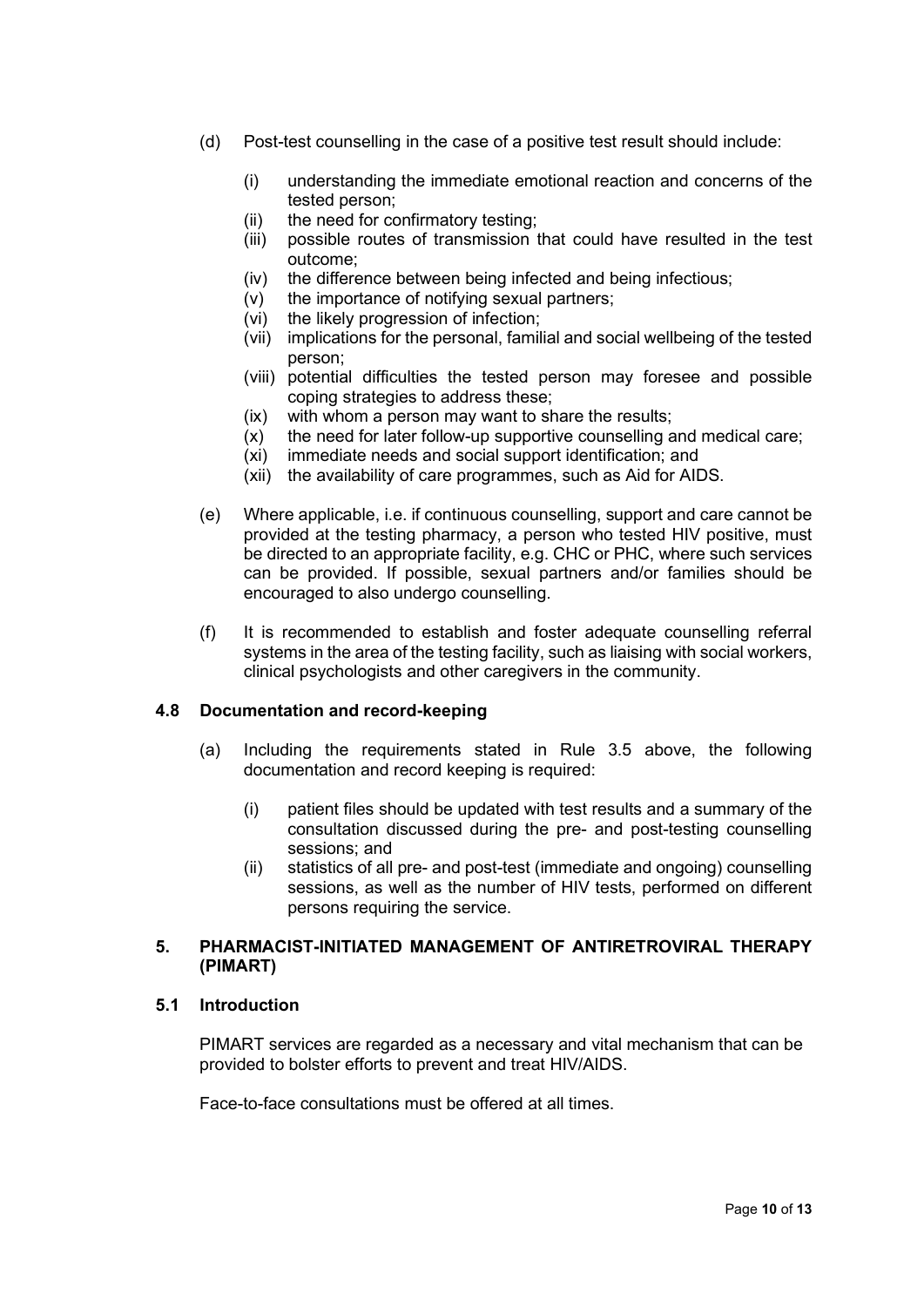- (d) Post-test counselling in the case of a positive test result should include:
	- (i) understanding the immediate emotional reaction and concerns of the tested person;
	- (ii) the need for confirmatory testing;
	- (iii) possible routes of transmission that could have resulted in the test outcome;
	- (iv) the difference between being infected and being infectious;
	- (v) the importance of notifying sexual partners;
	- (vi) the likely progression of infection;
	- (vii) implications for the personal, familial and social wellbeing of the tested person;
	- (viii) potential difficulties the tested person may foresee and possible coping strategies to address these;
	- (ix) with whom a person may want to share the results;
	- (x) the need for later follow-up supportive counselling and medical care;
	- (xi) immediate needs and social support identification; and
	- (xii) the availability of care programmes, such as Aid for AIDS.
- (e) Where applicable, i.e. if continuous counselling, support and care cannot be provided at the testing pharmacy, a person who tested HIV positive, must be directed to an appropriate facility, e.g. CHC or PHC, where such services can be provided. If possible, sexual partners and/or families should be encouraged to also undergo counselling.
- (f) It is recommended to establish and foster adequate counselling referral systems in the area of the testing facility, such as liaising with social workers, clinical psychologists and other caregivers in the community.

### 4.8 Documentation and record-keeping

- (a) Including the requirements stated in Rule 3.5 above, the following documentation and record keeping is required:
	- (i) patient files should be updated with test results and a summary of the consultation discussed during the pre- and post-testing counselling sessions; and
	- (ii) statistics of all pre- and post-test (immediate and ongoing) counselling sessions, as well as the number of HIV tests, performed on different persons requiring the service.

### 5. PHARMACIST-INITIATED MANAGEMENT OF ANTIRETROVIRAL THERAPY (PIMART)

# 5.1 Introduction

PIMART services are regarded as a necessary and vital mechanism that can be provided to bolster efforts to prevent and treat HIV/AIDS.

Face-to-face consultations must be offered at all times.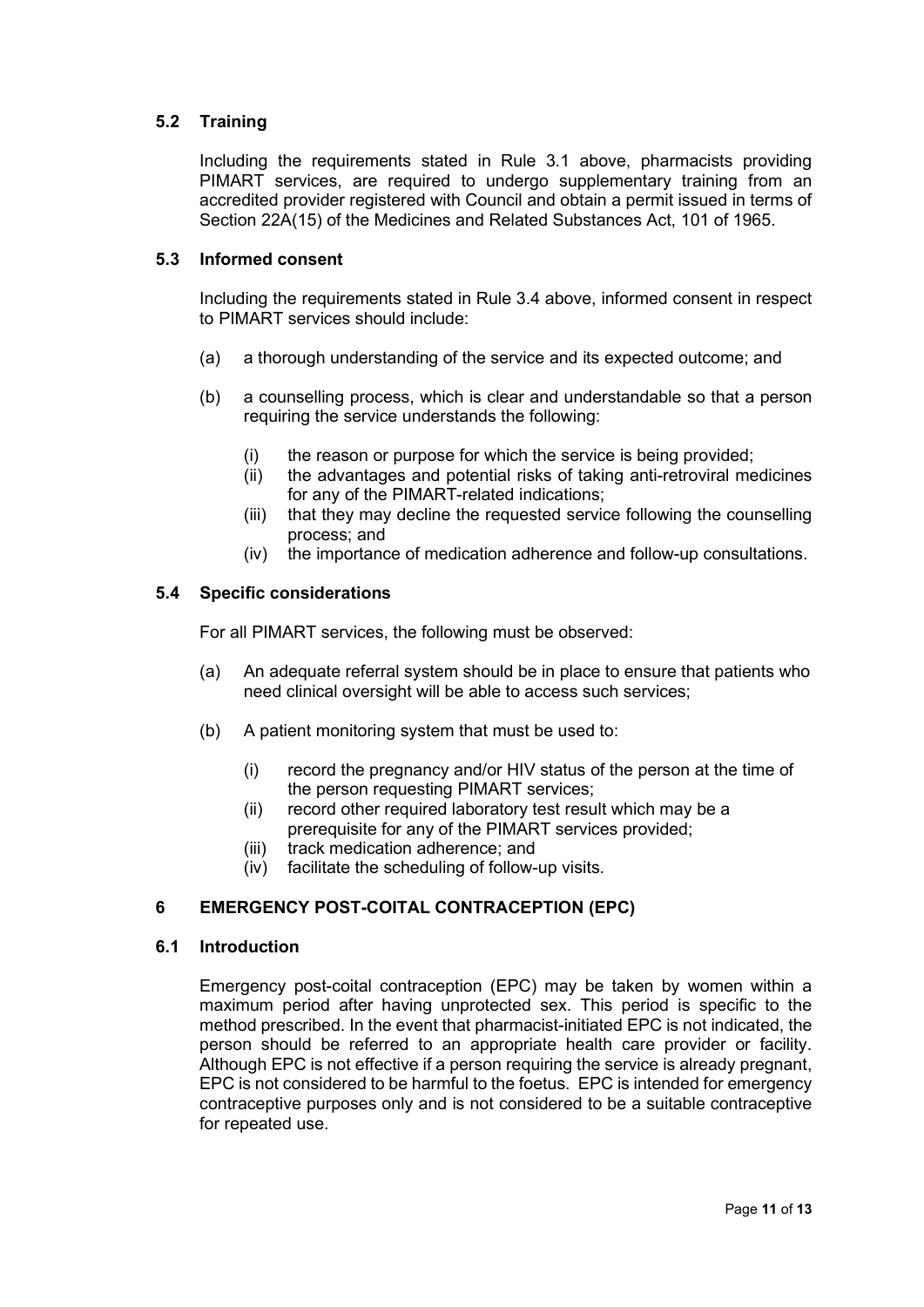# 5.2 Training

Including the requirements stated in Rule 3.1 above, pharmacists providing PIMART services, are required to undergo supplementary training from an accredited provider registered with Council and obtain a permit issued in terms of Section 22A(15) of the Medicines and Related Substances Act, 101 of 1965.

### 5.3 Informed consent

Including the requirements stated in Rule 3.4 above, informed consent in respect to PIMART services should include:

- (a) a thorough understanding of the service and its expected outcome; and
- (b) a counselling process, which is clear and understandable so that a person requiring the service understands the following:
	- (i) the reason or purpose for which the service is being provided;
	- (ii) the advantages and potential risks of taking anti-retroviral medicines for any of the PIMART-related indications;
	- (iii) that they may decline the requested service following the counselling process; and
	- (iv) the importance of medication adherence and follow-up consultations.

### 5.4 Specific considerations

For all PIMART services, the following must be observed:

- (a) An adequate referral system should be in place to ensure that patients who need clinical oversight will be able to access such services;
- (b) A patient monitoring system that must be used to:
	- (i) record the pregnancy and/or HIV status of the person at the time of the person requesting PIMART services;
	- (ii) record other required laboratory test result which may be a prerequisite for any of the PIMART services provided;
	- (iii) track medication adherence; and
	- (iv) facilitate the scheduling of follow-up visits.

# 6 EMERGENCY POST-COITAL CONTRACEPTION (EPC)

### 6.1 Introduction

Emergency post-coital contraception (EPC) may be taken by women within a maximum period after having unprotected sex. This period is specific to the method prescribed. In the event that pharmacist-initiated EPC is not indicated, the person should be referred to an appropriate health care provider or facility. Although EPC is not effective if a person requiring the service is already pregnant, EPC is not considered to be harmful to the foetus. EPC is intended for emergency contraceptive purposes only and is not considered to be a suitable contraceptive for repeated use.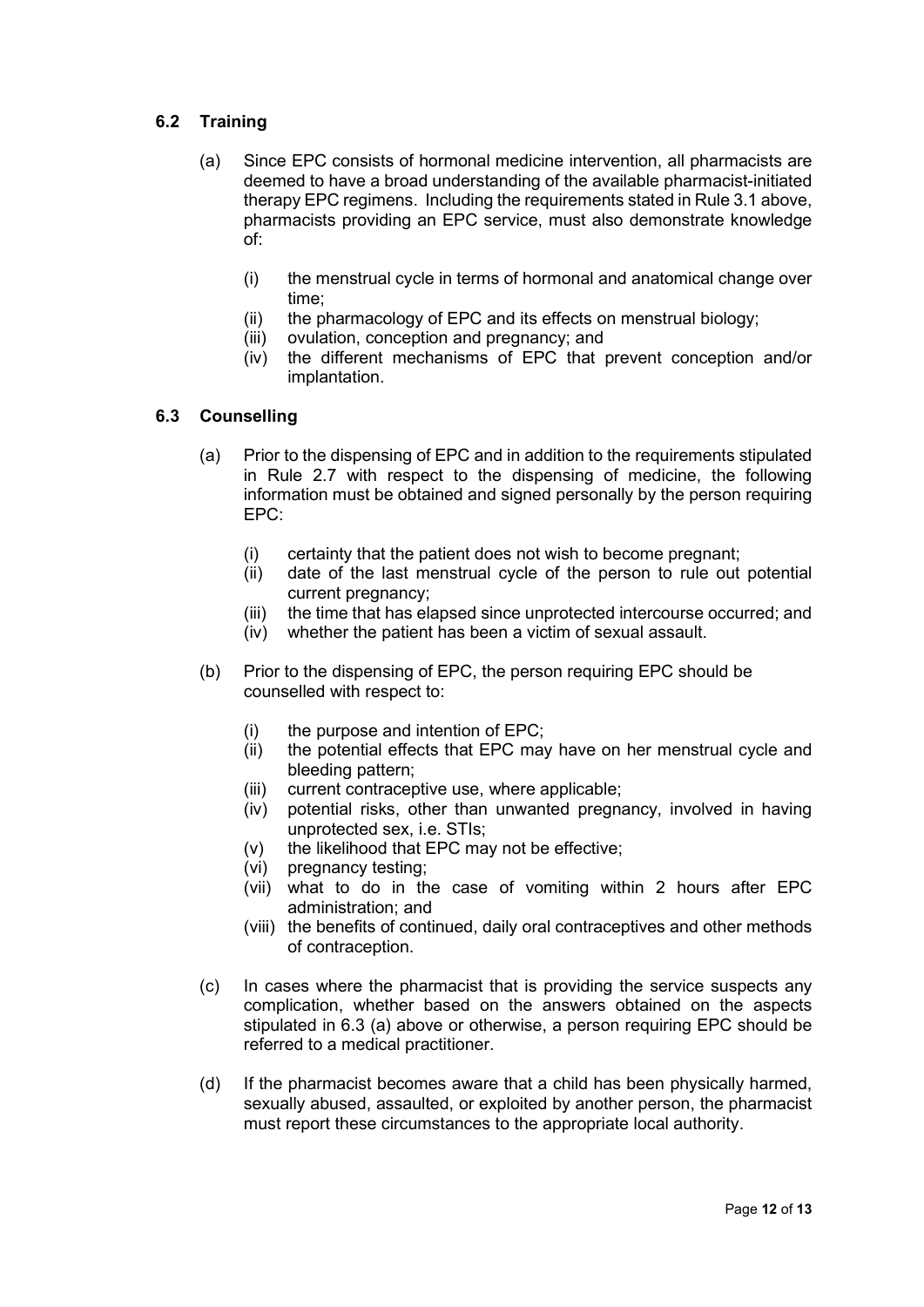# 6.2 Training

- (a) Since EPC consists of hormonal medicine intervention, all pharmacists are deemed to have a broad understanding of the available pharmacist-initiated therapy EPC regimens. Including the requirements stated in Rule 3.1 above, pharmacists providing an EPC service, must also demonstrate knowledge of:
	- (i) the menstrual cycle in terms of hormonal and anatomical change over time;
	- (ii) the pharmacology of EPC and its effects on menstrual biology;
	- (iii) ovulation, conception and pregnancy; and
	- (iv) the different mechanisms of EPC that prevent conception and/or implantation.

# 6.3 Counselling

- (a) Prior to the dispensing of EPC and in addition to the requirements stipulated in Rule 2.7 with respect to the dispensing of medicine, the following information must be obtained and signed personally by the person requiring EPC:
	- (i) certainty that the patient does not wish to become pregnant;
	- (ii) date of the last menstrual cycle of the person to rule out potential current pregnancy;
	- (iii) the time that has elapsed since unprotected intercourse occurred; and
	- (iv) whether the patient has been a victim of sexual assault.
- (b) Prior to the dispensing of EPC, the person requiring EPC should be counselled with respect to:
	- (i) the purpose and intention of EPC;
	- (ii) the potential effects that EPC may have on her menstrual cycle and bleeding pattern;
	- (iii) current contraceptive use, where applicable;
	- (iv) potential risks, other than unwanted pregnancy, involved in having unprotected sex, i.e. STIs;
	- (v) the likelihood that EPC may not be effective;
	- (vi) pregnancy testing;
	- (vii) what to do in the case of vomiting within 2 hours after EPC administration; and
	- (viii) the benefits of continued, daily oral contraceptives and other methods of contraception.
- (c) In cases where the pharmacist that is providing the service suspects any complication, whether based on the answers obtained on the aspects stipulated in 6.3 (a) above or otherwise, a person requiring EPC should be referred to a medical practitioner.
- (d) If the pharmacist becomes aware that a child has been physically harmed, sexually abused, assaulted, or exploited by another person, the pharmacist must report these circumstances to the appropriate local authority.